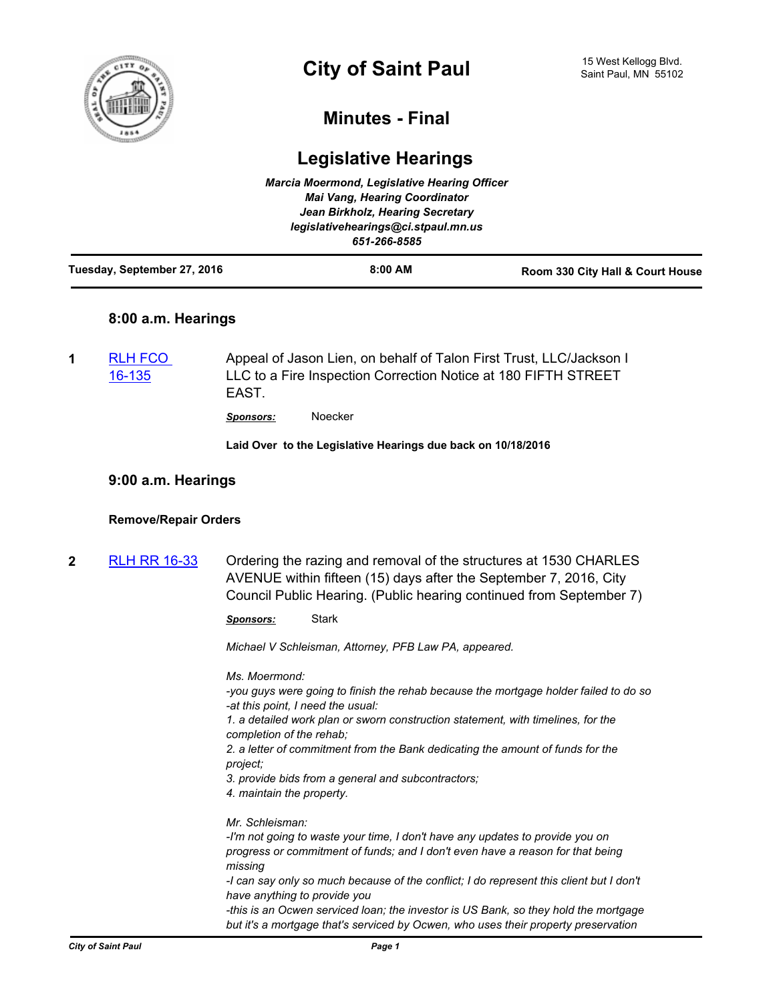

# **Minutes - Final**

# **Legislative Hearings**

| Tuesday, September 27, 2016 | $8:00$ AM                                           | Room 330 City Hall & Court House |
|-----------------------------|-----------------------------------------------------|----------------------------------|
|                             | legislativehearings@ci.stpaul.mn.us<br>651-266-8585 |                                  |
|                             | Jean Birkholz, Hearing Secretary                    |                                  |
|                             | <b>Mai Vang, Hearing Coordinator</b>                |                                  |
|                             | Marcia Moermond, Legislative Hearing Officer        |                                  |

## **8:00 a.m. Hearings**

**1** [RLH FCO](http://stpaul.legistar.com/gateway.aspx?m=l&id=/matter.aspx?key=22454)  16-135 Appeal of Jason Lien, on behalf of Talon First Trust, LLC/Jackson I LLC to a Fire Inspection Correction Notice at 180 FIFTH STREET EAST.

*Sponsors:* Noecker

## **Laid Over to the Legislative Hearings due back on 10/18/2016**

## **9:00 a.m. Hearings**

## **Remove/Repair Orders**

**2** [RLH RR 16-33](http://stpaul.legistar.com/gateway.aspx?m=l&id=/matter.aspx?key=22122) Ordering the razing and removal of the structures at 1530 CHARLES AVENUE within fifteen (15) days after the September 7, 2016, City Council Public Hearing. (Public hearing continued from September 7)

*Sponsors:* Stark

*Michael V Schleisman, Attorney, PFB Law PA, appeared.*

*Ms. Moermond:*

*-you guys were going to finish the rehab because the mortgage holder failed to do so -at this point, I need the usual:* 

*1. a detailed work plan or sworn construction statement, with timelines, for the completion of the rehab;* 

*2. a letter of commitment from the Bank dedicating the amount of funds for the project;*

*3. provide bids from a general and subcontractors;* 

*4. maintain the property.*

*Mr. Schleisman:*

*-I'm not going to waste your time, I don't have any updates to provide you on progress or commitment of funds; and I don't even have a reason for that being missing*

*-I can say only so much because of the conflict; I do represent this client but I don't have anything to provide you*

*-this is an Ocwen serviced loan; the investor is US Bank, so they hold the mortgage but it's a mortgage that's serviced by Ocwen, who uses their property preservation*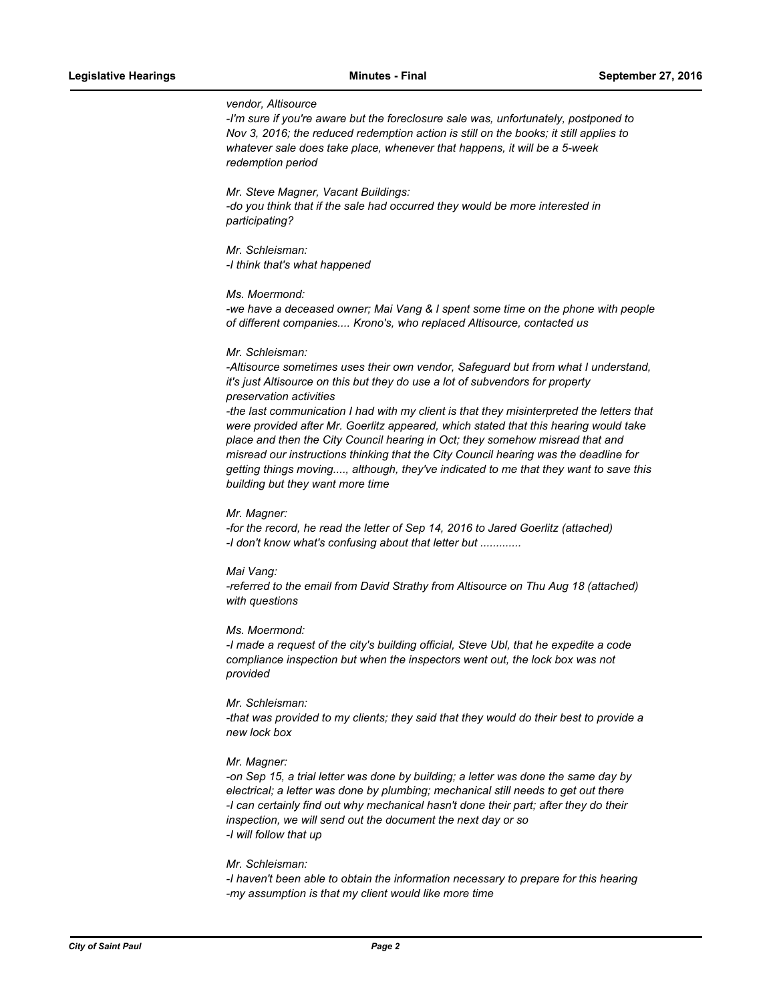### *vendor, Altisource*

*-I'm sure if you're aware but the foreclosure sale was, unfortunately, postponed to Nov 3, 2016; the reduced redemption action is still on the books; it still applies to whatever sale does take place, whenever that happens, it will be a 5-week redemption period*

*Mr. Steve Magner, Vacant Buildings: -do you think that if the sale had occurred they would be more interested in participating?*

*Mr. Schleisman: -I think that's what happened*

#### *Ms. Moermond:*

*-we have a deceased owner; Mai Vang & I spent some time on the phone with people of different companies.... Krono's, who replaced Altisource, contacted us*

#### *Mr. Schleisman:*

*-Altisource sometimes uses their own vendor, Safeguard but from what I understand, it's just Altisource on this but they do use a lot of subvendors for property preservation activities*

*-the last communication I had with my client is that they misinterpreted the letters that were provided after Mr. Goerlitz appeared, which stated that this hearing would take place and then the City Council hearing in Oct; they somehow misread that and misread our instructions thinking that the City Council hearing was the deadline for getting things moving...., although, they've indicated to me that they want to save this building but they want more time*

#### *Mr. Magner:*

*-for the record, he read the letter of Sep 14, 2016 to Jared Goerlitz (attached) -I don't know what's confusing about that letter but .............*

#### *Mai Vang:*

*-referred to the email from David Strathy from Altisource on Thu Aug 18 (attached) with questions*

#### *Ms. Moermond:*

*-I made a request of the city's building official, Steve Ubl, that he expedite a code compliance inspection but when the inspectors went out, the lock box was not provided*

#### *Mr. Schleisman:*

*-that was provided to my clients; they said that they would do their best to provide a new lock box*

#### *Mr. Magner:*

*-on Sep 15, a trial letter was done by building; a letter was done the same day by electrical; a letter was done by plumbing; mechanical still needs to get out there -I can certainly find out why mechanical hasn't done their part; after they do their inspection, we will send out the document the next day or so -I will follow that up*

#### *Mr. Schleisman:*

*-I haven't been able to obtain the information necessary to prepare for this hearing -my assumption is that my client would like more time*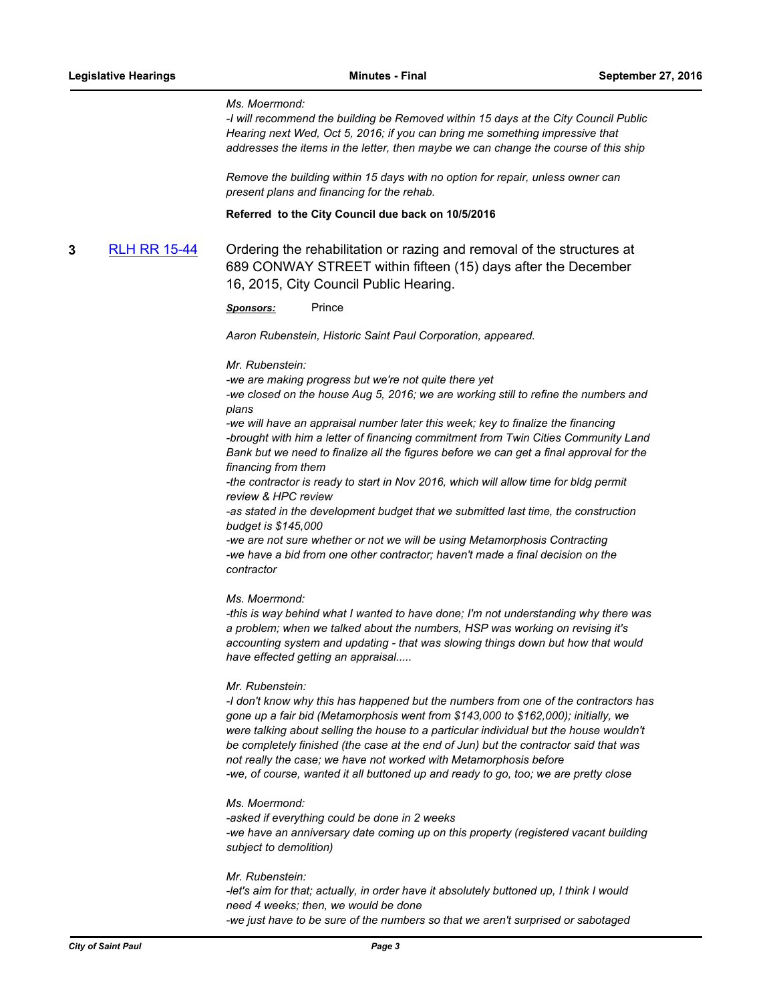#### *Ms. Moermond:*

*-I will recommend the building be Removed within 15 days at the City Council Public Hearing next Wed, Oct 5, 2016; if you can bring me something impressive that addresses the items in the letter, then maybe we can change the course of this ship*

*Remove the building within 15 days with no option for repair, unless owner can present plans and financing for the rehab.*

#### **Referred to the City Council due back on 10/5/2016**

## **3** [RLH RR 15-44](http://stpaul.legistar.com/gateway.aspx?m=l&id=/matter.aspx?key=20134) Ordering the rehabilitation or razing and removal of the structures at 689 CONWAY STREET within fifteen (15) days after the December 16, 2015, City Council Public Hearing.

## **Sponsors:** Prince

*Aaron Rubenstein, Historic Saint Paul Corporation, appeared.*

## *Mr. Rubenstein:*

*-we are making progress but we're not quite there yet*

*-we closed on the house Aug 5, 2016; we are working still to refine the numbers and plans*

*-we will have an appraisal number later this week; key to finalize the financing -brought with him a letter of financing commitment from Twin Cities Community Land Bank but we need to finalize all the figures before we can get a final approval for the financing from them*

*-the contractor is ready to start in Nov 2016, which will allow time for bldg permit review & HPC review*

*-as stated in the development budget that we submitted last time, the construction budget is \$145,000*

*-we are not sure whether or not we will be using Metamorphosis Contracting -we have a bid from one other contractor; haven't made a final decision on the contractor*

#### *Ms. Moermond:*

*-this is way behind what I wanted to have done; I'm not understanding why there was a problem; when we talked about the numbers, HSP was working on revising it's accounting system and updating - that was slowing things down but how that would have effected getting an appraisal.....* 

#### *Mr. Rubenstein:*

*-I don't know why this has happened but the numbers from one of the contractors has gone up a fair bid (Metamorphosis went from \$143,000 to \$162,000); initially, we were talking about selling the house to a particular individual but the house wouldn't be completely finished (the case at the end of Jun) but the contractor said that was not really the case; we have not worked with Metamorphosis before -we, of course, wanted it all buttoned up and ready to go, too; we are pretty close*

#### *Ms. Moermond:*

*-asked if everything could be done in 2 weeks -we have an anniversary date coming up on this property (registered vacant building subject to demolition)*

*Mr. Rubenstein: -let's aim for that; actually, in order have it absolutely buttoned up, I think I would need 4 weeks; then, we would be done -we just have to be sure of the numbers so that we aren't surprised or sabotaged*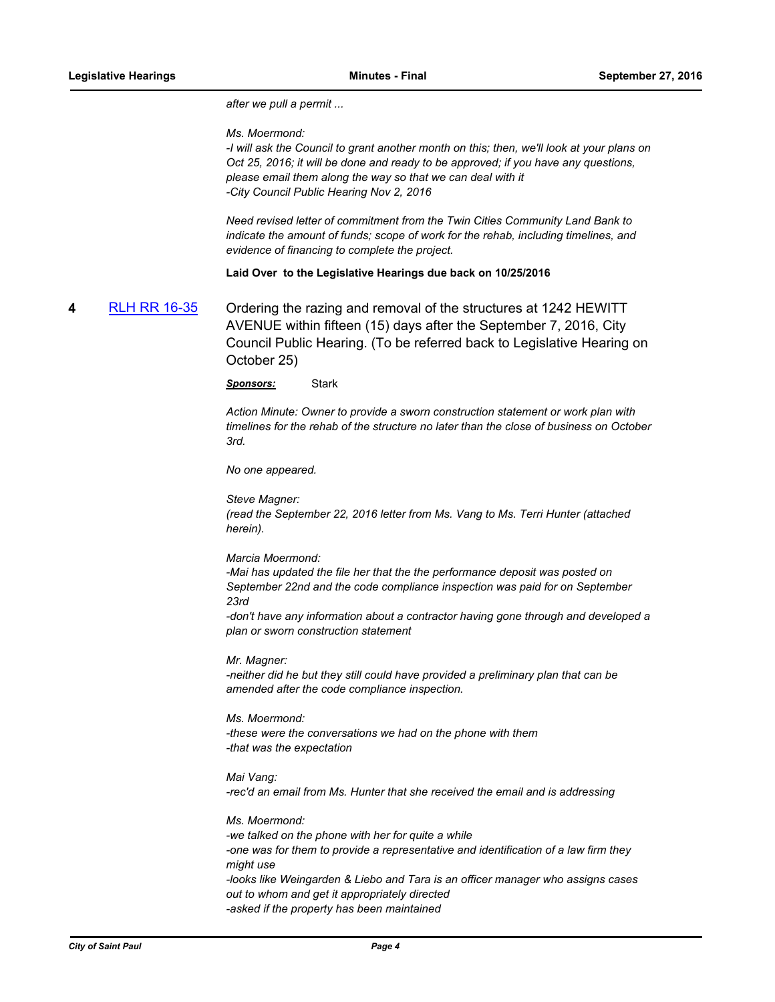*after we pull a permit ...* 

*Ms. Moermond:*

*-I will ask the Council to grant another month on this; then, we'll look at your plans on Oct 25, 2016; it will be done and ready to be approved; if you have any questions, please email them along the way so that we can deal with it -City Council Public Hearing Nov 2, 2016*

*Need revised letter of commitment from the Twin Cities Community Land Bank to indicate the amount of funds; scope of work for the rehab, including timelines, and evidence of financing to complete the project.*

#### **Laid Over to the Legislative Hearings due back on 10/25/2016**

## **4** [RLH RR 16-35](http://stpaul.legistar.com/gateway.aspx?m=l&id=/matter.aspx?key=22124) Ordering the razing and removal of the structures at 1242 HEWITT AVENUE within fifteen (15) days after the September 7, 2016, City Council Public Hearing. (To be referred back to Legislative Hearing on October 25)

#### *Sponsors:* Stark

*Action Minute: Owner to provide a sworn construction statement or work plan with timelines for the rehab of the structure no later than the close of business on October 3rd.*

#### *No one appeared.*

*Steve Magner:*

*(read the September 22, 2016 letter from Ms. Vang to Ms. Terri Hunter (attached herein).*

#### *Marcia Moermond:*

*-Mai has updated the file her that the the performance deposit was posted on September 22nd and the code compliance inspection was paid for on September 23rd*

*-don't have any information about a contractor having gone through and developed a plan or sworn construction statement*

*Mr. Magner:*

*-neither did he but they still could have provided a preliminary plan that can be amended after the code compliance inspection.*

*Ms. Moermond: -these were the conversations we had on the phone with them -that was the expectation*

*Mai Vang: -rec'd an email from Ms. Hunter that she received the email and is addressing*

*Ms. Moermond: -we talked on the phone with her for quite a while -one was for them to provide a representative and identification of a law firm they might use -looks like Weingarden & Liebo and Tara is an officer manager who assigns cases out to whom and get it appropriately directed -asked if the property has been maintained*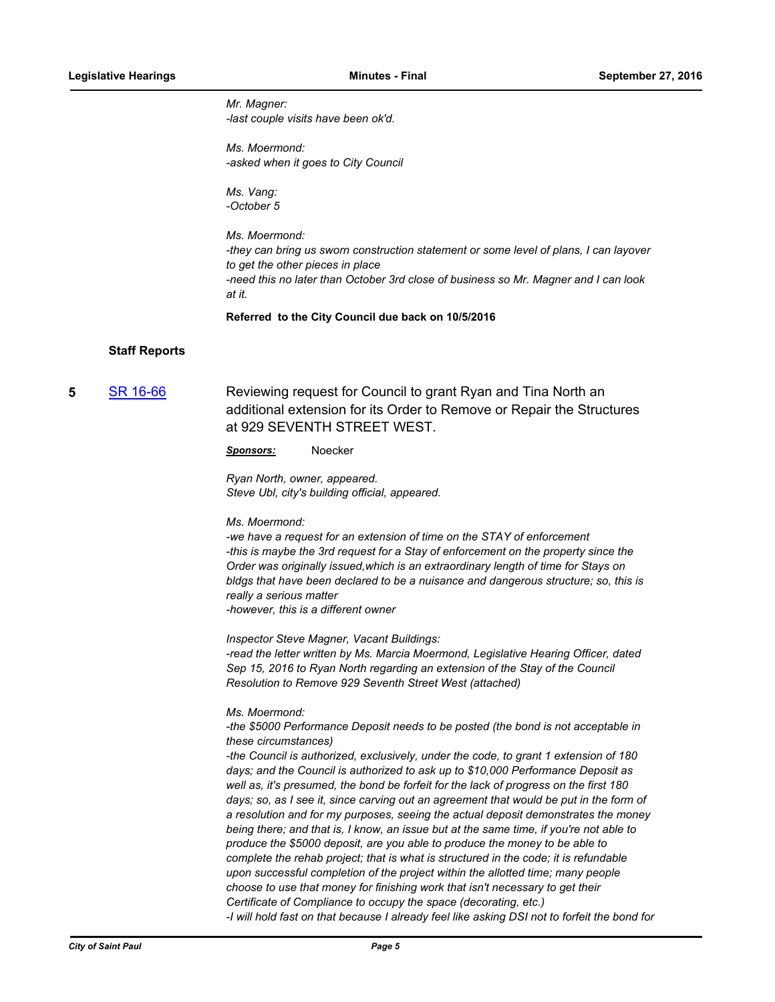*Mr. Magner: -last couple visits have been ok'd.*

*Ms. Moermond: -asked when it goes to City Council*

*Ms. Vang: -October 5*

*Ms. Moermond: -they can bring us sworn construction statement or some level of plans, I can layover to get the other pieces in place -need this no later than October 3rd close of business so Mr. Magner and I can look at it.*

**Referred to the City Council due back on 10/5/2016**

## **Staff Reports**

**5** [SR 16-66](http://stpaul.legistar.com/gateway.aspx?m=l&id=/matter.aspx?key=22241) **Reviewing request for Council to grant Ryan and Tina North an** additional extension for its Order to Remove or Repair the Structures at 929 SEVENTH STREET WEST.

### *Sponsors:* Noecker

*Ryan North, owner, appeared. Steve Ubl, city's building official, appeared.*

*Ms. Moermond:*

*-we have a request for an extension of time on the STAY of enforcement -this is maybe the 3rd request for a Stay of enforcement on the property since the Order was originally issued,which is an extraordinary length of time for Stays on bldgs that have been declared to be a nuisance and dangerous structure; so, this is really a serious matter*

*-however, this is a different owner*

*Inspector Steve Magner, Vacant Buildings:*

*-read the letter written by Ms. Marcia Moermond, Legislative Hearing Officer, dated*  Sep 15, 2016 to Ryan North regarding an extension of the Stay of the Council *Resolution to Remove 929 Seventh Street West (attached)*

*Ms. Moermond:*

*-the \$5000 Performance Deposit needs to be posted (the bond is not acceptable in these circumstances)*

*-the Council is authorized, exclusively, under the code, to grant 1 extension of 180 days; and the Council is authorized to ask up to \$10,000 Performance Deposit as well as, it's presumed, the bond be forfeit for the lack of progress on the first 180 days; so, as I see it, since carving out an agreement that would be put in the form of a resolution and for my purposes, seeing the actual deposit demonstrates the money being there; and that is, I know, an issue but at the same time, if you're not able to produce the \$5000 deposit, are you able to produce the money to be able to complete the rehab project; that is what is structured in the code; it is refundable upon successful completion of the project within the allotted time; many people choose to use that money for finishing work that isn't necessary to get their Certificate of Compliance to occupy the space (decorating, etc.) -I will hold fast on that because I already feel like asking DSI not to forfeit the bond for*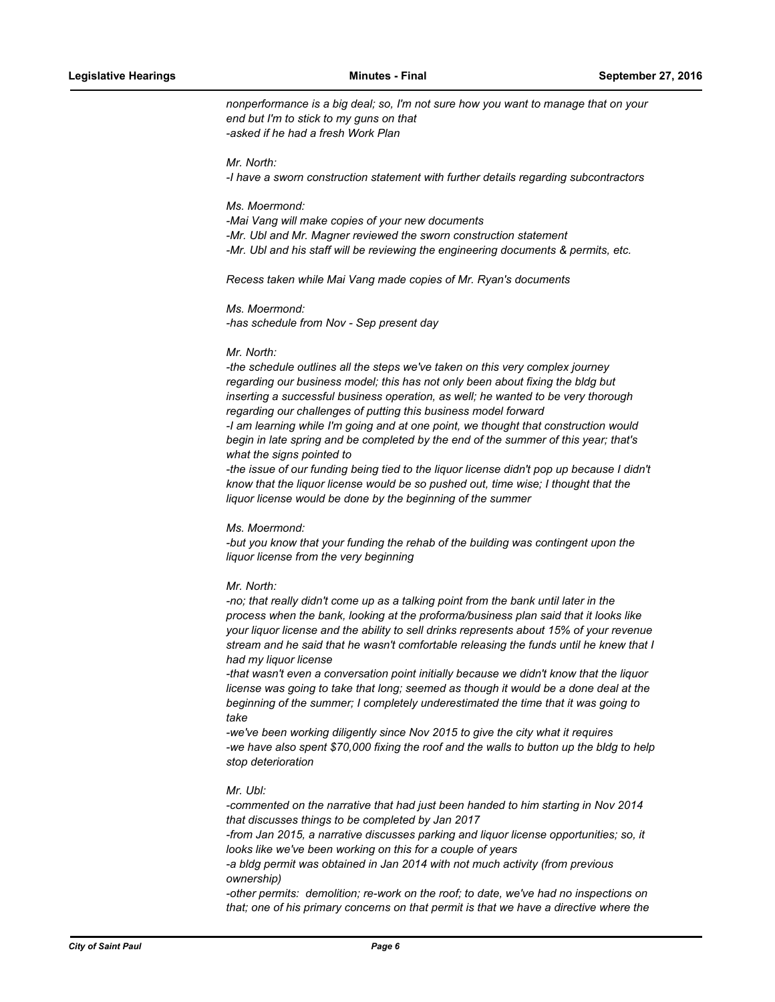*nonperformance is a big deal; so, I'm not sure how you want to manage that on your end but I'm to stick to my guns on that -asked if he had a fresh Work Plan*

*Mr. North:*

*-I have a sworn construction statement with further details regarding subcontractors*

#### *Ms. Moermond:*

*-Mai Vang will make copies of your new documents -Mr. Ubl and Mr. Magner reviewed the sworn construction statement -Mr. Ubl and his staff will be reviewing the engineering documents & permits, etc.*

*Recess taken while Mai Vang made copies of Mr. Ryan's documents*

*Ms. Moermond: -has schedule from Nov - Sep present day*

#### *Mr. North:*

*-the schedule outlines all the steps we've taken on this very complex journey regarding our business model; this has not only been about fixing the bldg but inserting a successful business operation, as well; he wanted to be very thorough regarding our challenges of putting this business model forward*

*-I am learning while I'm going and at one point, we thought that construction would begin in late spring and be completed by the end of the summer of this year; that's what the signs pointed to*

*-the issue of our funding being tied to the liquor license didn't pop up because I didn't know that the liquor license would be so pushed out, time wise; I thought that the liquor license would be done by the beginning of the summer*

#### *Ms. Moermond:*

*-but you know that your funding the rehab of the building was contingent upon the liquor license from the very beginning*

#### *Mr. North:*

*-no; that really didn't come up as a talking point from the bank until later in the process when the bank, looking at the proforma/business plan said that it looks like your liquor license and the ability to sell drinks represents about 15% of your revenue stream and he said that he wasn't comfortable releasing the funds until he knew that I had my liquor license*

*-that wasn't even a conversation point initially because we didn't know that the liquor license was going to take that long; seemed as though it would be a done deal at the beginning of the summer; I completely underestimated the time that it was going to take*

*-we've been working diligently since Nov 2015 to give the city what it requires -we have also spent \$70,000 fixing the roof and the walls to button up the bldg to help stop deterioration*

#### *Mr. Ubl:*

*-commented on the narrative that had just been handed to him starting in Nov 2014 that discusses things to be completed by Jan 2017*

*-from Jan 2015, a narrative discusses parking and liquor license opportunities; so, it looks like we've been working on this for a couple of years*

*-a bldg permit was obtained in Jan 2014 with not much activity (from previous ownership)*

*-other permits: demolition; re-work on the roof; to date, we've had no inspections on that; one of his primary concerns on that permit is that we have a directive where the*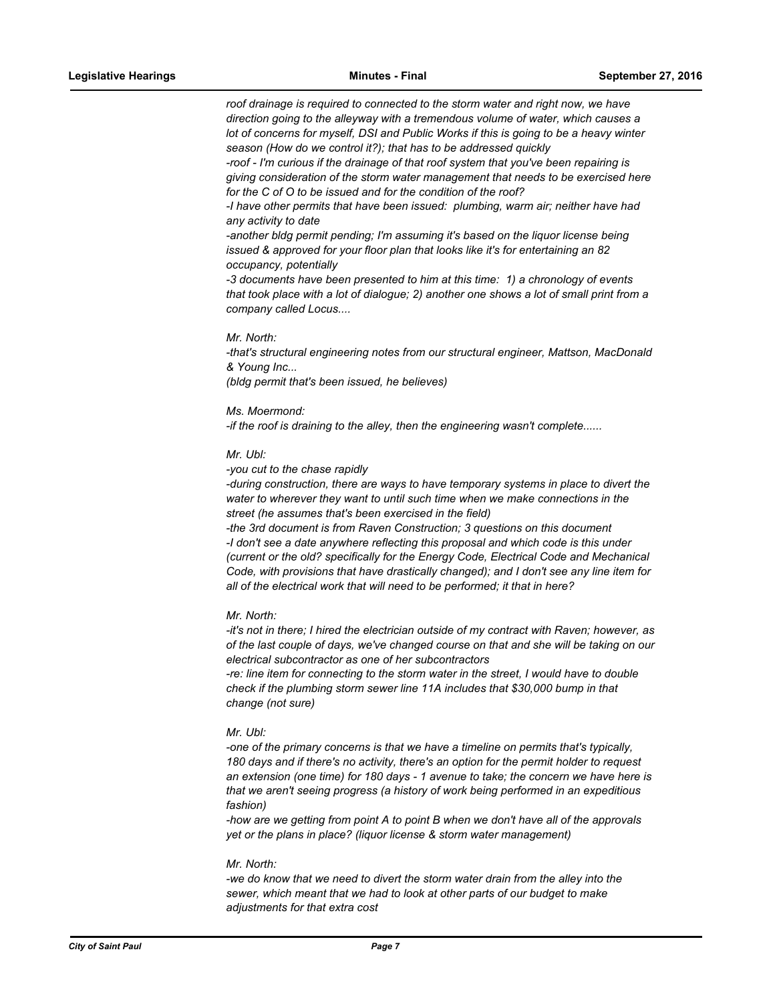*roof drainage is required to connected to the storm water and right now, we have direction going to the alleyway with a tremendous volume of water, which causes a lot of concerns for myself, DSI and Public Works if this is going to be a heavy winter season (How do we control it?); that has to be addressed quickly*

*-roof - I'm curious if the drainage of that roof system that you've been repairing is giving consideration of the storm water management that needs to be exercised here for the C of O to be issued and for the condition of the roof?*

*-I have other permits that have been issued: plumbing, warm air; neither have had any activity to date*

-another bldg permit pending; I'm assuming it's based on the liquor license being *issued & approved for your floor plan that looks like it's for entertaining an 82 occupancy, potentially*

*-3 documents have been presented to him at this time: 1) a chronology of events that took place with a lot of dialogue; 2) another one shows a lot of small print from a company called Locus....* 

*Mr. North:*

*-that's structural engineering notes from our structural engineer, Mattson, MacDonald & Young Inc...*

*(bldg permit that's been issued, he believes)*

#### *Ms. Moermond:*

*-if the roof is draining to the alley, then the engineering wasn't complete......*

*Mr. Ubl:*

*-you cut to the chase rapidly*

*-during construction, there are ways to have temporary systems in place to divert the water to wherever they want to until such time when we make connections in the street (he assumes that's been exercised in the field)*

*-the 3rd document is from Raven Construction; 3 questions on this document -I don't see a date anywhere reflecting this proposal and which code is this under (current or the old? specifically for the Energy Code, Electrical Code and Mechanical Code, with provisions that have drastically changed); and I don't see any line item for all of the electrical work that will need to be performed; it that in here?*

#### *Mr. North:*

*-it's not in there; I hired the electrician outside of my contract with Raven; however, as of the last couple of days, we've changed course on that and she will be taking on our electrical subcontractor as one of her subcontractors*

*-re: line item for connecting to the storm water in the street, I would have to double check if the plumbing storm sewer line 11A includes that \$30,000 bump in that change (not sure)*

#### *Mr. Ubl:*

*-one of the primary concerns is that we have a timeline on permits that's typically, 180 days and if there's no activity, there's an option for the permit holder to request an extension (one time) for 180 days - 1 avenue to take; the concern we have here is that we aren't seeing progress (a history of work being performed in an expeditious fashion)*

*-how are we getting from point A to point B when we don't have all of the approvals yet or the plans in place? (liquor license & storm water management)*

#### *Mr. North:*

*-we do know that we need to divert the storm water drain from the alley into the sewer, which meant that we had to look at other parts of our budget to make adjustments for that extra cost*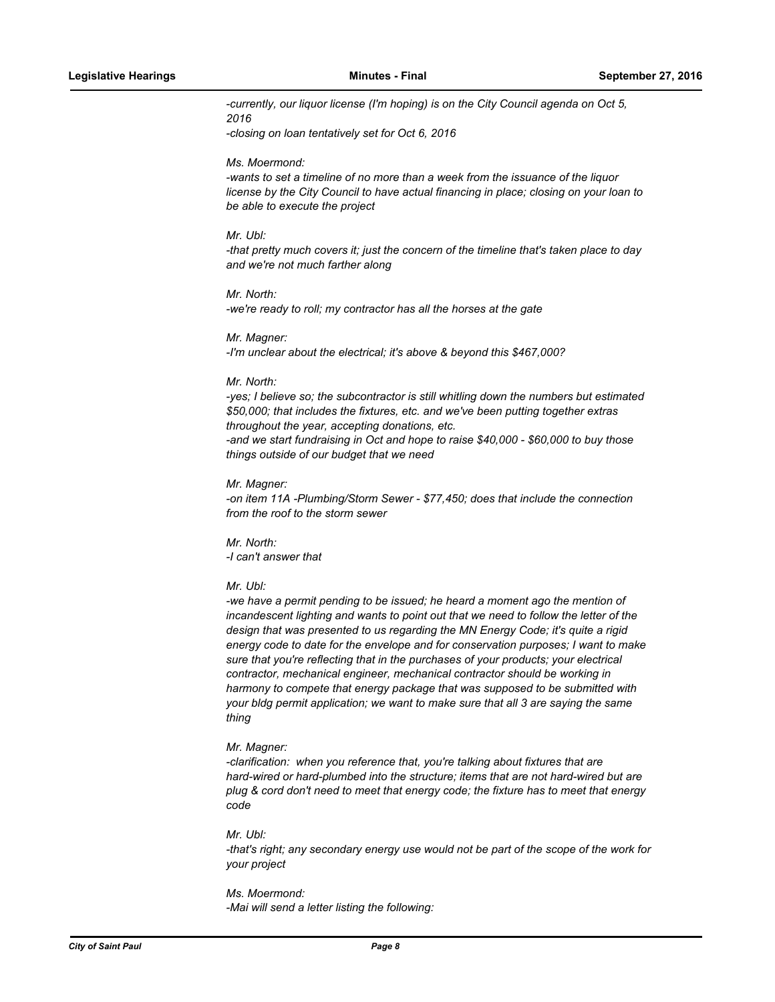*-currently, our liquor license (I'm hoping) is on the City Council agenda on Oct 5, 2016*

*-closing on loan tentatively set for Oct 6, 2016*

#### *Ms. Moermond:*

*-wants to set a timeline of no more than a week from the issuance of the liquor license by the City Council to have actual financing in place; closing on your loan to be able to execute the project*

#### *Mr. Ubl:*

*-that pretty much covers it; just the concern of the timeline that's taken place to day and we're not much farther along*

*Mr. North:*

*-we're ready to roll; my contractor has all the horses at the gate*

*Mr. Magner:*

*-I'm unclear about the electrical; it's above & beyond this \$467,000?*

## *Mr. North:*

*-yes; I believe so; the subcontractor is still whitling down the numbers but estimated \$50,000; that includes the fixtures, etc. and we've been putting together extras throughout the year, accepting donations, etc. -and we start fundraising in Oct and hope to raise \$40,000 - \$60,000 to buy those things outside of our budget that we need*

#### *Mr. Magner:*

*-on item 11A -Plumbing/Storm Sewer - \$77,450; does that include the connection from the roof to the storm sewer*

*Mr. North: -I can't answer that*

## *Mr. Ubl:*

*-we have a permit pending to be issued; he heard a moment ago the mention of incandescent lighting and wants to point out that we need to follow the letter of the design that was presented to us regarding the MN Energy Code; it's quite a rigid energy code to date for the envelope and for conservation purposes; I want to make sure that you're reflecting that in the purchases of your products; your electrical contractor, mechanical engineer, mechanical contractor should be working in harmony to compete that energy package that was supposed to be submitted with your bldg permit application; we want to make sure that all 3 are saying the same thing*

#### *Mr. Magner:*

*-clarification: when you reference that, you're talking about fixtures that are hard-wired or hard-plumbed into the structure; items that are not hard-wired but are plug & cord don't need to meet that energy code; the fixture has to meet that energy code*

#### *Mr. Ubl:*

*-that's right; any secondary energy use would not be part of the scope of the work for your project*

*Ms. Moermond: -Mai will send a letter listing the following:*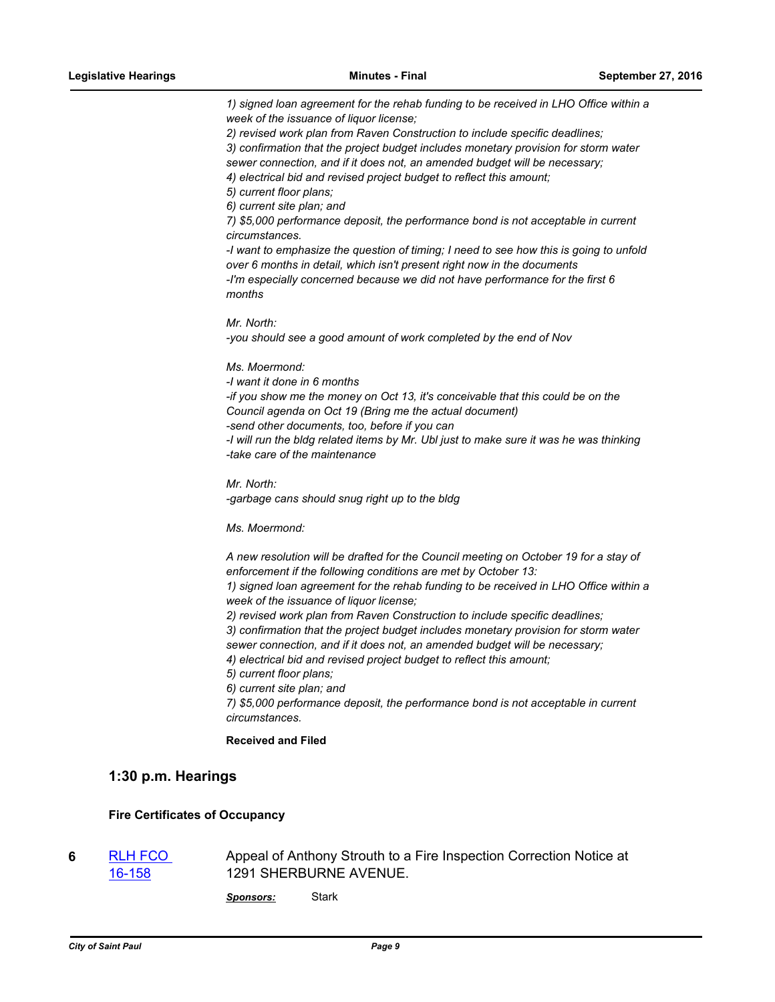*1) signed loan agreement for the rehab funding to be received in LHO Office within a week of the issuance of liquor license;*

*2) revised work plan from Raven Construction to include specific deadlines;*

*3) confirmation that the project budget includes monetary provision for storm water* 

*sewer connection, and if it does not, an amended budget will be necessary;*

*4) electrical bid and revised project budget to reflect this amount;*

*5) current floor plans;*

*6) current site plan; and*

*7) \$5,000 performance deposit, the performance bond is not acceptable in current circumstances.*

*-I want to emphasize the question of timing; I need to see how this is going to unfold over 6 months in detail, which isn't present right now in the documents -I'm especially concerned because we did not have performance for the first 6 months*

*Mr. North:*

*-you should see a good amount of work completed by the end of Nov*

*Ms. Moermond:*

*-I want it done in 6 months*

*-if you show me the money on Oct 13, it's conceivable that this could be on the Council agenda on Oct 19 (Bring me the actual document) -send other documents, too, before if you can -I will run the bldg related items by Mr. Ubl just to make sure it was he was thinking*

*-take care of the maintenance*

*Mr. North:*

*-garbage cans should snug right up to the bldg*

*Ms. Moermond:*

*A new resolution will be drafted for the Council meeting on October 19 for a stay of enforcement if the following conditions are met by October 13:*

*1) signed loan agreement for the rehab funding to be received in LHO Office within a week of the issuance of liquor license;*

*2) revised work plan from Raven Construction to include specific deadlines; 3) confirmation that the project budget includes monetary provision for storm water sewer connection, and if it does not, an amended budget will be necessary;*

*4) electrical bid and revised project budget to reflect this amount;*

*5) current floor plans;*

*6) current site plan; and*

*7) \$5,000 performance deposit, the performance bond is not acceptable in current circumstances.*

## **Received and Filed**

## **1:30 p.m. Hearings**

## **Fire Certificates of Occupancy**

**6** [RLH FCO](http://stpaul.legistar.com/gateway.aspx?m=l&id=/matter.aspx?key=22660)  16-158

Appeal of Anthony Strouth to a Fire Inspection Correction Notice at 1291 SHERBURNE AVENUE.

*Sponsors:* Stark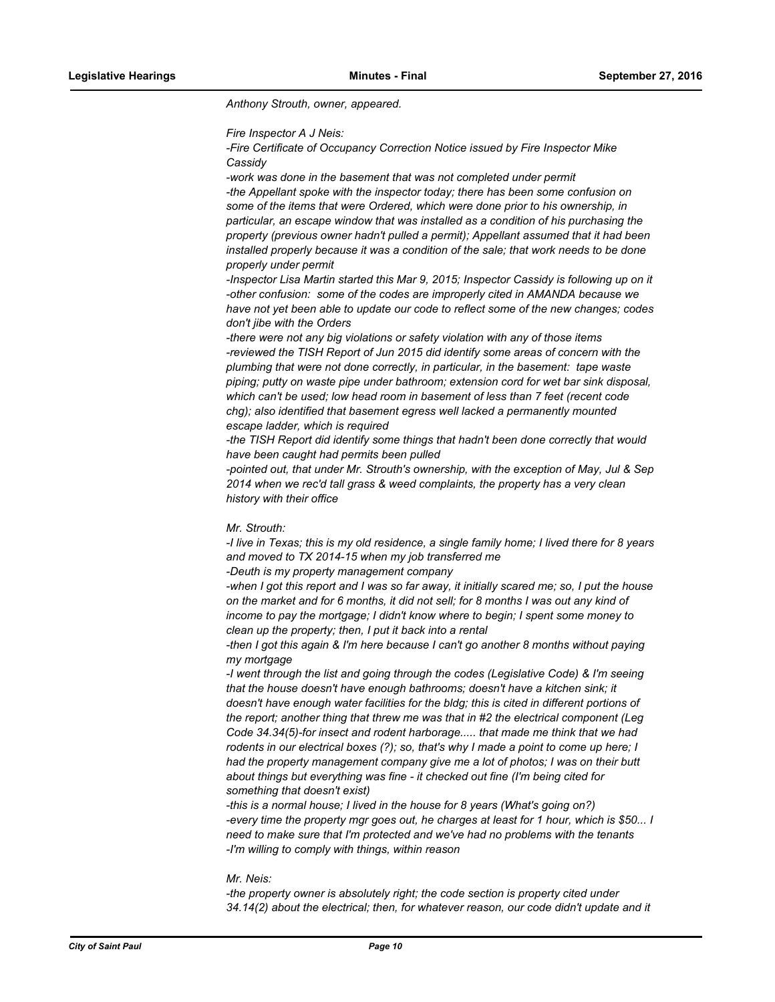*Anthony Strouth, owner, appeared.*

*Fire Inspector A J Neis:*

*-Fire Certificate of Occupancy Correction Notice issued by Fire Inspector Mike Cassidy*

*-work was done in the basement that was not completed under permit -the Appellant spoke with the inspector today; there has been some confusion on some of the items that were Ordered, which were done prior to his ownership, in particular, an escape window that was installed as a condition of his purchasing the property (previous owner hadn't pulled a permit); Appellant assumed that it had been installed properly because it was a condition of the sale; that work needs to be done properly under permit*

*-Inspector Lisa Martin started this Mar 9, 2015; Inspector Cassidy is following up on it -other confusion: some of the codes are improperly cited in AMANDA because we have not yet been able to update our code to reflect some of the new changes; codes don't jibe with the Orders*

*-there were not any big violations or safety violation with any of those items -reviewed the TISH Report of Jun 2015 did identify some areas of concern with the plumbing that were not done correctly, in particular, in the basement: tape waste piping; putty on waste pipe under bathroom; extension cord for wet bar sink disposal, which can't be used; low head room in basement of less than 7 feet (recent code chg); also identified that basement egress well lacked a permanently mounted escape ladder, which is required*

*-the TISH Report did identify some things that hadn't been done correctly that would have been caught had permits been pulled*

*-pointed out, that under Mr. Strouth's ownership, with the exception of May, Jul & Sep 2014 when we rec'd tall grass & weed complaints, the property has a very clean history with their office*

*Mr. Strouth:*

*-I live in Texas; this is my old residence, a single family home; I lived there for 8 years and moved to TX 2014-15 when my job transferred me*

*-Deuth is my property management company*

*-when I got this report and I was so far away, it initially scared me; so, I put the house on the market and for 6 months, it did not sell; for 8 months I was out any kind of income to pay the mortgage; I didn't know where to begin; I spent some money to clean up the property; then, I put it back into a rental*

*-then I got this again & I'm here because I can't go another 8 months without paying my mortgage*

*-I went through the list and going through the codes (Legislative Code) & I'm seeing that the house doesn't have enough bathrooms; doesn't have a kitchen sink; it doesn't have enough water facilities for the bldg; this is cited in different portions of the report; another thing that threw me was that in #2 the electrical component (Leg Code 34.34(5)-for insect and rodent harborage..... that made me think that we had rodents in our electrical boxes (?); so, that's why I made a point to come up here; I had the property management company give me a lot of photos; I was on their butt about things but everything was fine - it checked out fine (I'm being cited for something that doesn't exist)*

*-this is a normal house; I lived in the house for 8 years (What's going on?) -every time the property mgr goes out, he charges at least for 1 hour, which is \$50... I need to make sure that I'm protected and we've had no problems with the tenants -I'm willing to comply with things, within reason*

#### *Mr. Neis:*

*-the property owner is absolutely right; the code section is property cited under 34.14(2) about the electrical; then, for whatever reason, our code didn't update and it*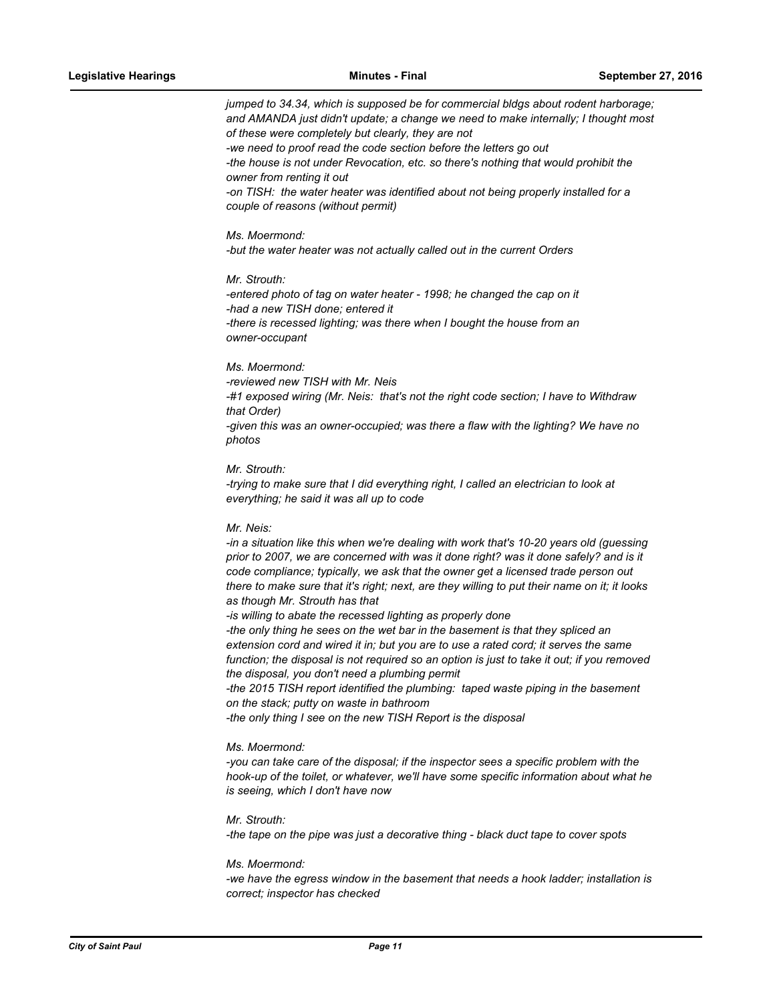*jumped to 34.34, which is supposed be for commercial bldgs about rodent harborage; and AMANDA just didn't update; a change we need to make internally; I thought most of these were completely but clearly, they are not -we need to proof read the code section before the letters go out -the house is not under Revocation, etc. so there's nothing that would prohibit the owner from renting it out* -on TISH: the water heater was identified about not being properly installed for a *couple of reasons (without permit) Ms. Moermond: -but the water heater was not actually called out in the current Orders Mr. Strouth: -entered photo of tag on water heater - 1998; he changed the cap on it -had a new TISH done; entered it -there is recessed lighting; was there when I bought the house from an owner-occupant Ms. Moermond: -reviewed new TISH with Mr. Neis -#1 exposed wiring (Mr. Neis: that's not the right code section; I have to Withdraw that Order) -given this was an owner-occupied; was there a flaw with the lighting? We have no photos*

*Mr. Strouth:*

*-trying to make sure that I did everything right, I called an electrician to look at everything; he said it was all up to code*

*Mr. Neis:*

*-in a situation like this when we're dealing with work that's 10-20 years old (guessing prior to 2007, we are concerned with was it done right? was it done safely? and is it code compliance; typically, we ask that the owner get a licensed trade person out there to make sure that it's right; next, are they willing to put their name on it; it looks as though Mr. Strouth has that*

*-is willing to abate the recessed lighting as properly done -the only thing he sees on the wet bar in the basement is that they spliced an extension cord and wired it in; but you are to use a rated cord; it serves the same function; the disposal is not required so an option is just to take it out; if you removed the disposal, you don't need a plumbing permit*

*-the 2015 TISH report identified the plumbing: taped waste piping in the basement on the stack; putty on waste in bathroom*

*-the only thing I see on the new TISH Report is the disposal*

#### *Ms. Moermond:*

*-you can take care of the disposal; if the inspector sees a specific problem with the hook-up of the toilet, or whatever, we'll have some specific information about what he is seeing, which I don't have now*

*Mr. Strouth:*

*-the tape on the pipe was just a decorative thing - black duct tape to cover spots*

#### *Ms. Moermond:*

*-we have the egress window in the basement that needs a hook ladder; installation is correct; inspector has checked*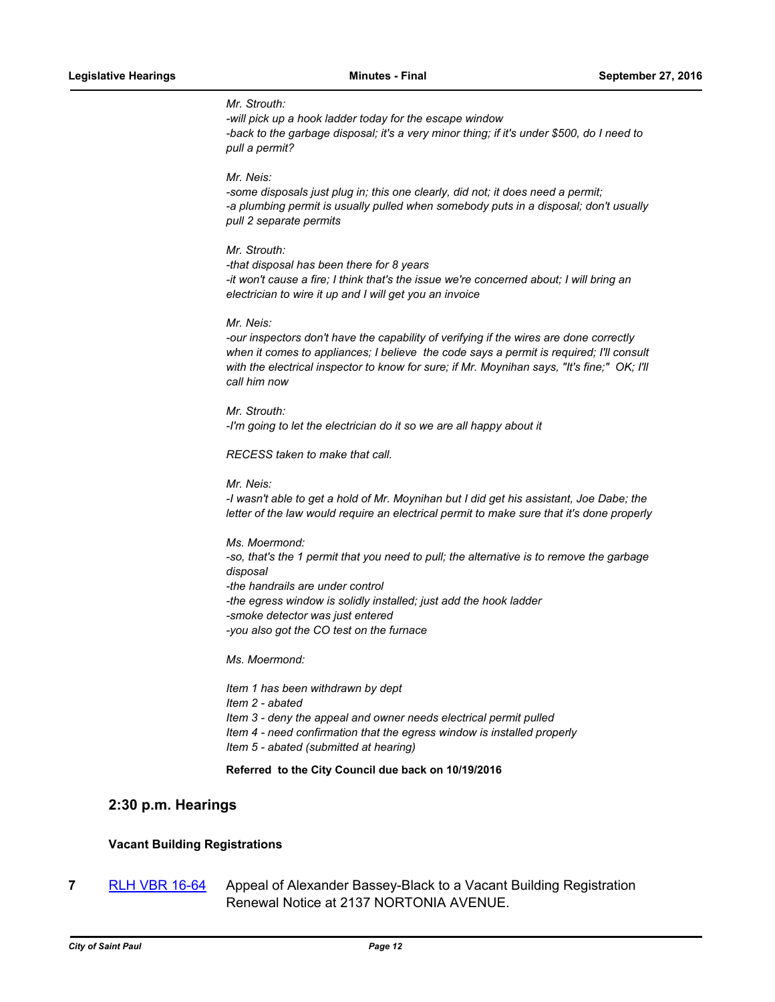## *Mr. Strouth:*

*-will pick up a hook ladder today for the escape window -back to the garbage disposal; it's a very minor thing; if it's under \$500, do I need to pull a permit?*

#### *Mr. Neis:*

*-some disposals just plug in; this one clearly, did not; it does need a permit; -a plumbing permit is usually pulled when somebody puts in a disposal; don't usually pull 2 separate permits*

*Mr. Strouth: -that disposal has been there for 8 years -it won't cause a fire; I think that's the issue we're concerned about; I will bring an electrician to wire it up and I will get you an invoice*

#### *Mr. Neis:*

*-our inspectors don't have the capability of verifying if the wires are done correctly when it comes to appliances; I believe the code says a permit is required; I'll consult with the electrical inspector to know for sure; if Mr. Moynihan says, "It's fine;" OK; I'll call him now*

*Mr. Strouth: -I'm going to let the electrician do it so we are all happy about it*

*RECESS taken to make that call.*

#### *Mr. Neis:*

*-I wasn't able to get a hold of Mr. Moynihan but I did get his assistant, Joe Dabe; the letter of the law would require an electrical permit to make sure that it's done properly*

*Ms. Moermond: -so, that's the 1 permit that you need to pull; the alternative is to remove the garbage disposal -the handrails are under control -the egress window is solidly installed; just add the hook ladder -smoke detector was just entered -you also got the CO test on the furnace*

*Ms. Moermond:*

*Item 1 has been withdrawn by dept Item 2 - abated Item 3 - deny the appeal and owner needs electrical permit pulled Item 4 - need confirmation that the egress window is installed properly Item 5 - abated (submitted at hearing)*

**Referred to the City Council due back on 10/19/2016**

## **2:30 p.m. Hearings**

## **Vacant Building Registrations**

**7** [RLH VBR 16-64](http://stpaul.legistar.com/gateway.aspx?m=l&id=/matter.aspx?key=22649) Appeal of Alexander Bassey-Black to a Vacant Building Registration Renewal Notice at 2137 NORTONIA AVENUE.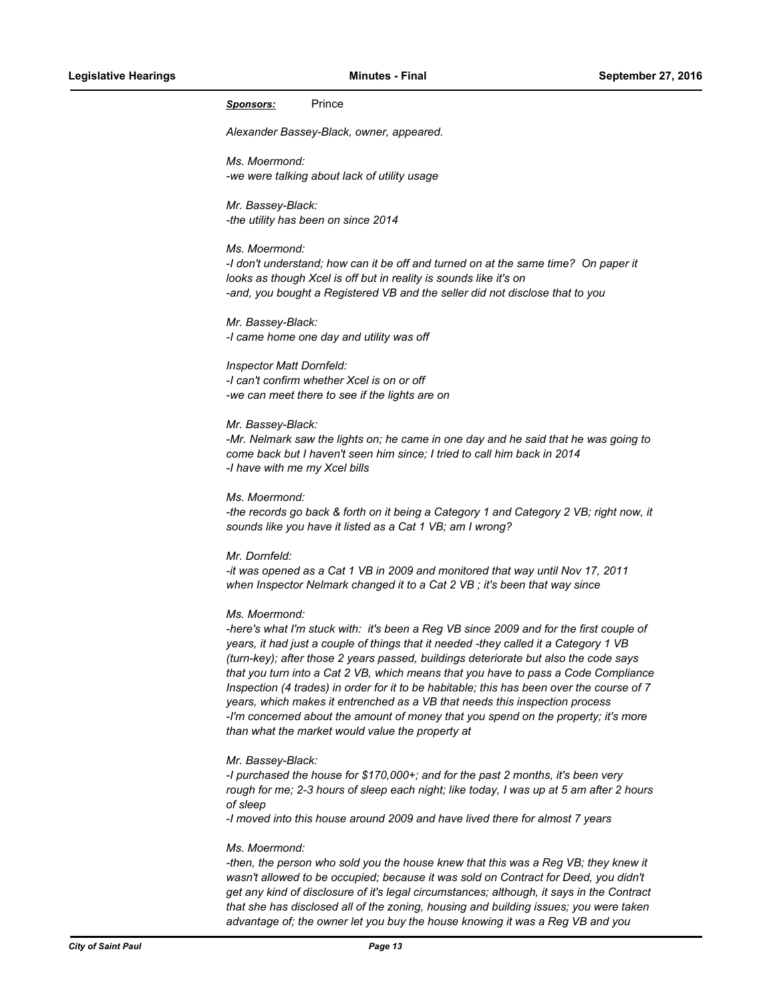## **Sponsors:** Prince

*Alexander Bassey-Black, owner, appeared.*

*Ms. Moermond: -we were talking about lack of utility usage*

*Mr. Bassey-Black: -the utility has been on since 2014*

#### *Ms. Moermond:*

*-I don't understand; how can it be off and turned on at the same time? On paper it looks as though Xcel is off but in reality is sounds like it's on -and, you bought a Registered VB and the seller did not disclose that to you*

*Mr. Bassey-Black: -I came home one day and utility was off*

*Inspector Matt Dornfeld: -I can't confirm whether Xcel is on or off -we can meet there to see if the lights are on*

#### *Mr. Bassey-Black:*

*-Mr. Nelmark saw the lights on; he came in one day and he said that he was going to come back but I haven't seen him since; I tried to call him back in 2014 -I have with me my Xcel bills*

#### *Ms. Moermond:*

*-the records go back & forth on it being a Category 1 and Category 2 VB; right now, it sounds like you have it listed as a Cat 1 VB; am I wrong?*

#### *Mr. Dornfeld:*

*-it was opened as a Cat 1 VB in 2009 and monitored that way until Nov 17, 2011 when Inspector Nelmark changed it to a Cat 2 VB ; it's been that way since* 

#### *Ms. Moermond:*

*-here's what I'm stuck with: it's been a Reg VB since 2009 and for the first couple of years, it had just a couple of things that it needed -they called it a Category 1 VB (turn-key); after those 2 years passed, buildings deteriorate but also the code says that you turn into a Cat 2 VB, which means that you have to pass a Code Compliance Inspection (4 trades) in order for it to be habitable; this has been over the course of 7 years, which makes it entrenched as a VB that needs this inspection process -I'm concerned about the amount of money that you spend on the property; it's more than what the market would value the property at*

#### *Mr. Bassey-Black:*

*-I purchased the house for \$170,000+; and for the past 2 months, it's been very rough for me; 2-3 hours of sleep each night; like today, I was up at 5 am after 2 hours of sleep*

*-I moved into this house around 2009 and have lived there for almost 7 years*

#### *Ms. Moermond:*

*-then, the person who sold you the house knew that this was a Reg VB; they knew it*  wasn't allowed to be occupied; because it was sold on Contract for Deed, you didn't *get any kind of disclosure of it's legal circumstances; although, it says in the Contract that she has disclosed all of the zoning, housing and building issues; you were taken advantage of; the owner let you buy the house knowing it was a Reg VB and you*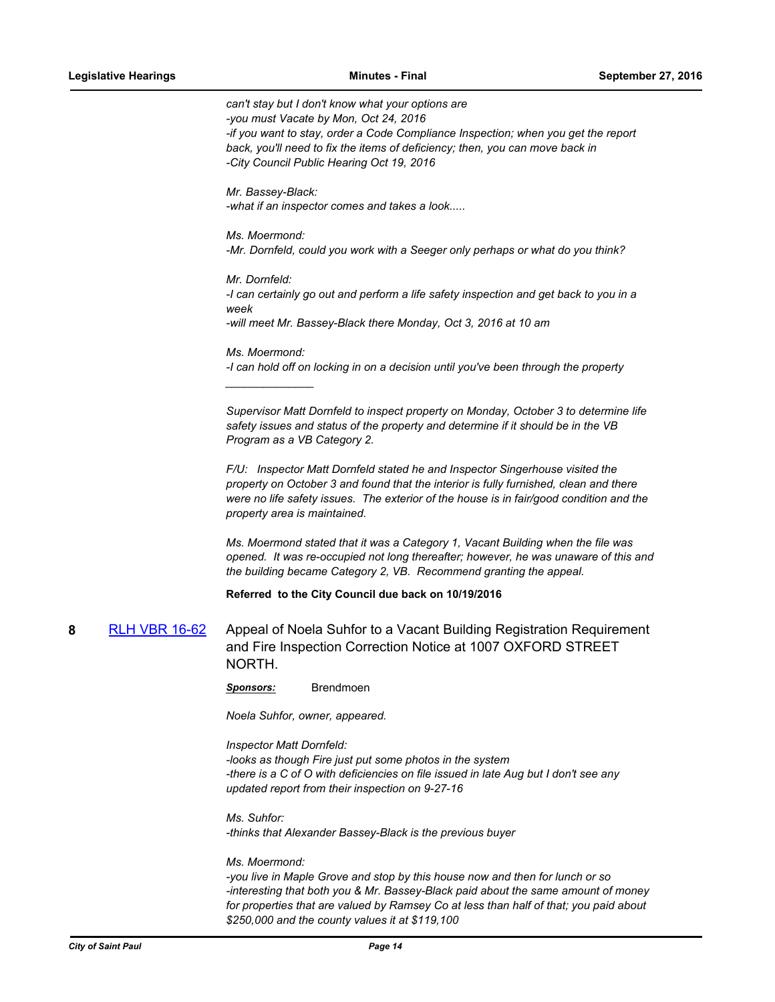*can't stay but I don't know what your options are -you must Vacate by Mon, Oct 24, 2016 -if you want to stay, order a Code Compliance Inspection; when you get the report back, you'll need to fix the items of deficiency; then, you can move back in -City Council Public Hearing Oct 19, 2016*

*Mr. Bassey-Black: -what if an inspector comes and takes a look.....*

*Ms. Moermond: -Mr. Dornfeld, could you work with a Seeger only perhaps or what do you think?*

*Mr. Dornfeld:*

*-I can certainly go out and perform a life safety inspection and get back to you in a week* 

*-will meet Mr. Bassey-Black there Monday, Oct 3, 2016 at 10 am*

*Ms. Moermond:*

*\_\_\_\_\_\_\_\_\_\_\_\_\_\_*

*-I can hold off on locking in on a decision until you've been through the property*

*Supervisor Matt Dornfeld to inspect property on Monday, October 3 to determine life safety issues and status of the property and determine if it should be in the VB Program as a VB Category 2.*

*F/U: Inspector Matt Dornfeld stated he and Inspector Singerhouse visited the property on October 3 and found that the interior is fully furnished, clean and there were no life safety issues. The exterior of the house is in fair/good condition and the property area is maintained.* 

*Ms. Moermond stated that it was a Category 1, Vacant Building when the file was opened. It was re-occupied not long thereafter; however, he was unaware of this and the building became Category 2, VB. Recommend granting the appeal.*

**Referred to the City Council due back on 10/19/2016**

**8** [RLH VBR 16-62](http://stpaul.legistar.com/gateway.aspx?m=l&id=/matter.aspx?key=22630) Appeal of Noela Suhfor to a Vacant Building Registration Requirement and Fire Inspection Correction Notice at 1007 OXFORD STREET NORTH.

*Sponsors:* Brendmoen

*Noela Suhfor, owner, appeared.*

*Inspector Matt Dornfeld:*

*-looks as though Fire just put some photos in the system -there is a C of O with deficiencies on file issued in late Aug but I don't see any updated report from their inspection on 9-27-16*

*Ms. Suhfor: -thinks that Alexander Bassey-Black is the previous buyer*

*Ms. Moermond:*

*-you live in Maple Grove and stop by this house now and then for lunch or so -interesting that both you & Mr. Bassey-Black paid about the same amount of money for properties that are valued by Ramsey Co at less than half of that; you paid about \$250,000 and the county values it at \$119,100*